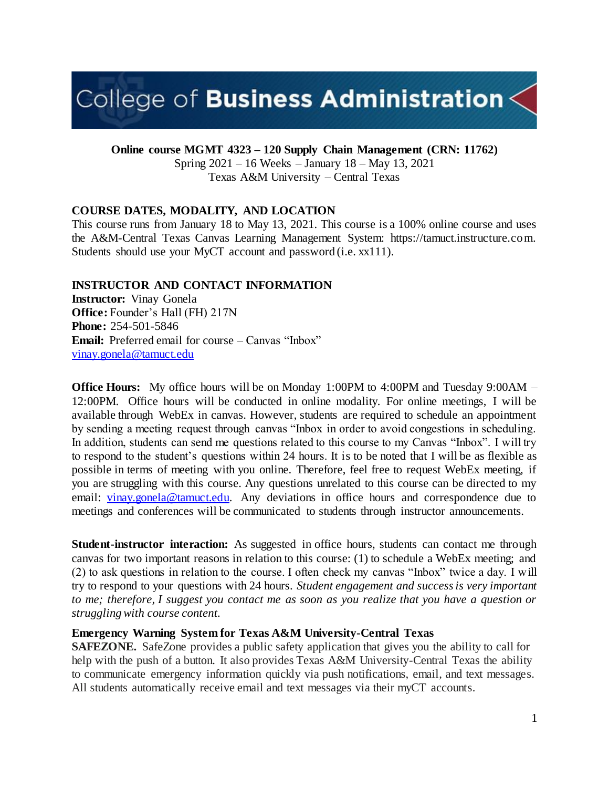# College of Business Administration $\lt$

**Online course MGMT 4323 – 120 Supply Chain Management (CRN: 11762)**

Spring 2021 – 16 Weeks – January 18 – May 13, 2021 Texas A&M University – Central Texas

# **COURSE DATES, MODALITY, AND LOCATION**

This course runs from January 18 to May 13, 2021. This course is a 100% online course and uses the A&M-Central Texas Canvas Learning Management System: https://tamuct.instructure.com. Students should use your MyCT account and password (i.e. xx111).

#### **INSTRUCTOR AND CONTACT INFORMATION**

**Instructor:** Vinay Gonela **Office:** Founder's Hall (FH) 217N **Phone:** 254-501-5846 **Email:** Preferred email for course – Canvas "Inbox" [vinay.gonela@tamuct.edu](mailto:vinay.gonela@tamuct.edu)

**Office Hours:** My office hours will be on Monday 1:00PM to 4:00PM and Tuesday 9:00AM – 12:00PM. Office hours will be conducted in online modality. For online meetings, I will be available through WebEx in canvas. However, students are required to schedule an appointment by sending a meeting request through canvas "Inbox in order to avoid congestions in scheduling. In addition, students can send me questions related to this course to my Canvas "Inbox". I will try to respond to the student's questions within 24 hours. It is to be noted that I will be as flexible as possible in terms of meeting with you online. Therefore, feel free to request WebEx meeting, if you are struggling with this course. Any questions unrelated to this course can be directed to my email: [vinay.gonela@tamuct.edu.](about:blank) Any deviations in office hours and correspondence due to meetings and conferences will be communicated to students through instructor announcements.

**Student-instructor interaction:** As suggested in office hours, students can contact me through canvas for two important reasons in relation to this course: (1) to schedule a WebEx meeting; and (2) to ask questions in relation to the course. I often check my canvas "Inbox" twice a day. I will try to respond to your questions with 24 hours. *Student engagement and success is very important to me; therefore, I suggest you contact me as soon as you realize that you have a question or struggling with course content.* 

#### **Emergency Warning System for Texas A&M University-Central Texas**

**SAFEZONE.** SafeZone provides a public safety application that gives you the ability to call for help with the push of a button. It also provides Texas A&M University-Central Texas the ability to communicate emergency information quickly via push notifications, email, and text messages. All students automatically receive email and text messages via their myCT accounts.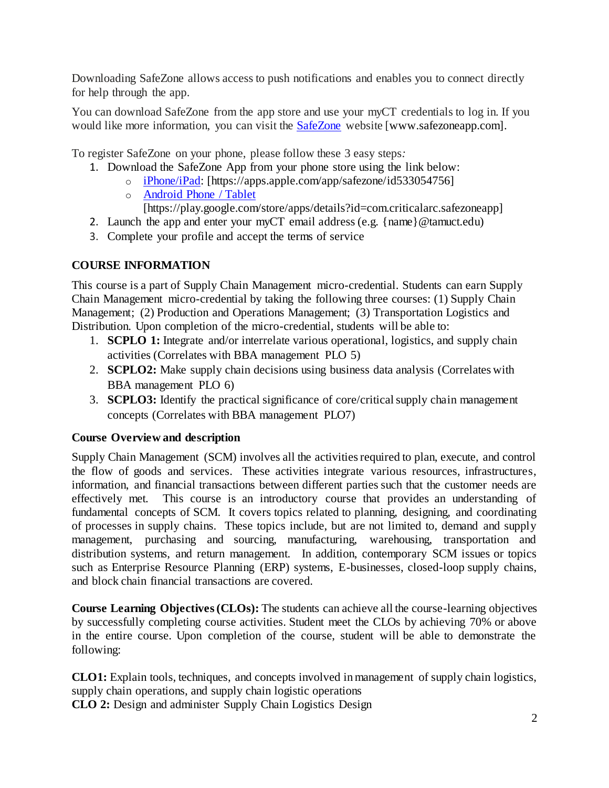Downloading SafeZone allows access to push notifications and enables you to connect directly for help through the app.

You can download SafeZone from the app store and use your myCT credentials to log in. If you would like more information, you can visit the **[SafeZone](http://www.safezoneapp.com/)** website [www.safezoneapp.com].

To register SafeZone on your phone, please follow these 3 easy steps*:*

- 1. Download the SafeZone App from your phone store using the link below:
	- o [iPhone/iPad:](https://apps.apple.com/app/safezone/id533054756) [https://apps.apple.com/app/safezone/id533054756]
	- o [Android Phone / Tablet](https://play.google.com/store/apps/details?id=com.criticalarc.safezoneapp) [https://play.google.com/store/apps/details?id=com.criticalarc.safezoneapp]
- 2. Launch the app and enter your myCT email address (e.g.  $\{name\} @t$  amuct.edu)
- 3. Complete your profile and accept the terms of service

#### **COURSE INFORMATION**

This course is a part of Supply Chain Management micro-credential. Students can earn Supply Chain Management micro-credential by taking the following three courses: (1) Supply Chain Management; (2) Production and Operations Management; (3) Transportation Logistics and Distribution. Upon completion of the micro-credential, students will be able to:

- 1. **SCPLO 1:** Integrate and/or interrelate various operational, logistics, and supply chain activities (Correlates with BBA management PLO 5)
- 2. **SCPLO2:** Make supply chain decisions using business data analysis (Correlates with BBA management PLO 6)
- 3. **SCPLO3:** Identify the practical significance of core/critical supply chain management concepts (Correlates with BBA management PLO7)

#### **Course Overview and description**

Supply Chain Management (SCM) involves all the activities required to plan, execute, and control the flow of goods and services. These activities integrate various resources, infrastructures, information, and financial transactions between different parties such that the customer needs are effectively met. This course is an introductory course that provides an understanding of fundamental concepts of SCM. It covers topics related to planning, designing, and coordinating of processes in supply chains. These topics include, but are not limited to, demand and supply management, purchasing and sourcing, manufacturing, warehousing, transportation and distribution systems, and return management. In addition, contemporary SCM issues or topics such as Enterprise Resource Planning (ERP) systems, E-businesses, closed-loop supply chains, and block chain financial transactions are covered.

**Course Learning Objectives (CLOs):** The students can achieve all the course-learning objectives by successfully completing course activities. Student meet the CLOs by achieving 70% or above in the entire course. Upon completion of the course, student will be able to demonstrate the following:

**CLO1:** Explain tools, techniques, and concepts involved in management of supply chain logistics, supply chain operations, and supply chain logistic operations

**CLO 2:** Design and administer Supply Chain Logistics Design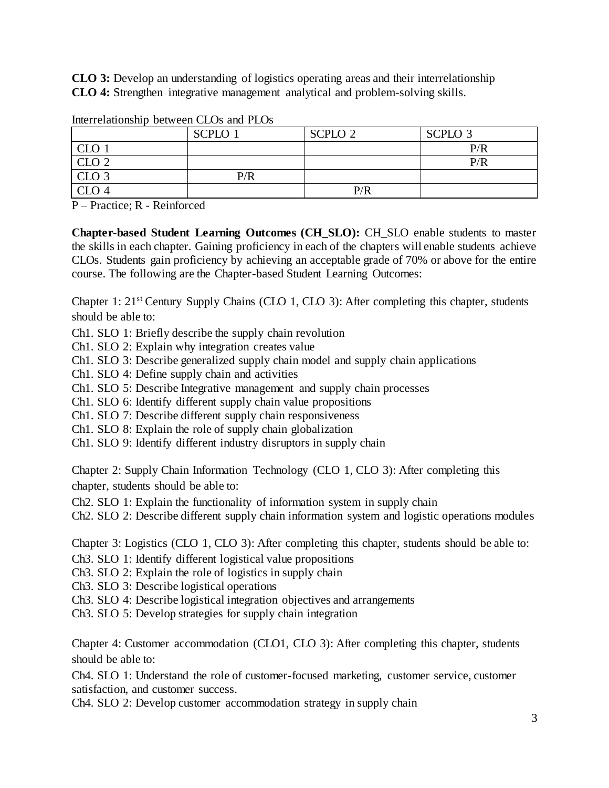**CLO 3:** Develop an understanding of logistics operating areas and their interrelationship **CLO 4:** Strengthen integrative management analytical and problem-solving skills.

|                  | <b>SCPLO 1</b> | SCPLO <sub>2</sub> | SCPLO <sub>3</sub> |
|------------------|----------------|--------------------|--------------------|
| $\cap$ $\cap$    |                |                    | P/R                |
| CLO <sub>2</sub> |                |                    | P/R                |
| CLO <sub>3</sub> | P/R            |                    |                    |
| CLO 4            |                | P/R                |                    |

Interrelationship between CLOs and PLOs

P – Practice; R - Reinforced

**Chapter-based Student Learning Outcomes (CH\_SLO):** CH\_SLO enable students to master the skills in each chapter. Gaining proficiency in each of the chapters will enable students achieve CLOs. Students gain proficiency by achieving an acceptable grade of 70% or above for the entire course. The following are the Chapter-based Student Learning Outcomes:

Chapter 1: 21st Century Supply Chains (CLO 1, CLO 3): After completing this chapter, students should be able to:

Ch1. SLO 1: Briefly describe the supply chain revolution

Ch1. SLO 2: Explain why integration creates value

Ch1. SLO 3: Describe generalized supply chain model and supply chain applications

Ch1. SLO 4: Define supply chain and activities

Ch1. SLO 5: Describe Integrative management and supply chain processes

Ch1. SLO 6: Identify different supply chain value propositions

Ch1. SLO 7: Describe different supply chain responsiveness

Ch1. SLO 8: Explain the role of supply chain globalization

Ch1. SLO 9: Identify different industry disruptors in supply chain

Chapter 2: Supply Chain Information Technology (CLO 1, CLO 3): After completing this chapter, students should be able to:

Ch2. SLO 1: Explain the functionality of information system in supply chain

Ch2. SLO 2: Describe different supply chain information system and logistic operations modules

Chapter 3: Logistics (CLO 1, CLO 3): After completing this chapter, students should be able to:

Ch3. SLO 1: Identify different logistical value propositions

Ch3. SLO 2: Explain the role of logistics in supply chain

Ch3. SLO 3: Describe logistical operations

Ch3. SLO 4: Describe logistical integration objectives and arrangements

Ch3. SLO 5: Develop strategies for supply chain integration

Chapter 4: Customer accommodation (CLO1, CLO 3): After completing this chapter, students should be able to:

Ch4. SLO 1: Understand the role of customer-focused marketing, customer service, customer satisfaction, and customer success.

Ch4. SLO 2: Develop customer accommodation strategy in supply chain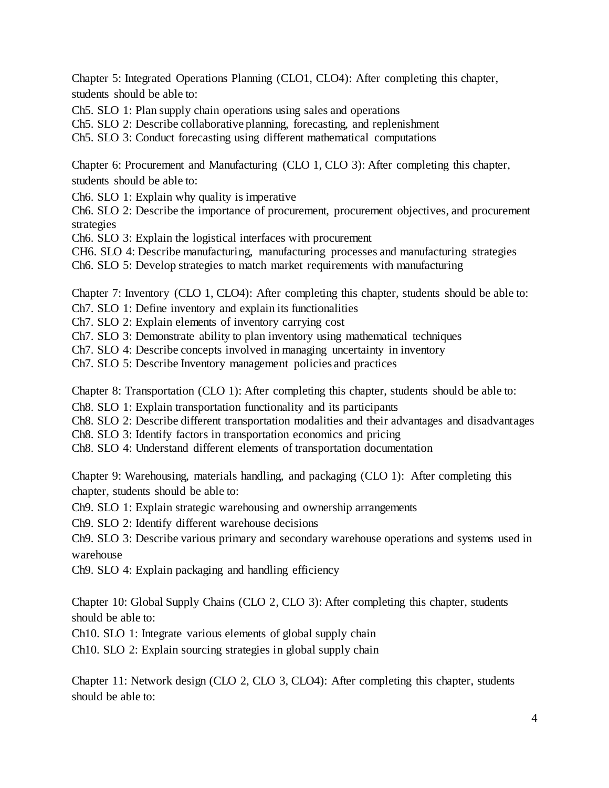Chapter 5: Integrated Operations Planning (CLO1, CLO4): After completing this chapter, students should be able to:

Ch5. SLO 1: Plan supply chain operations using sales and operations

Ch5. SLO 2: Describe collaborative planning, forecasting, and replenishment

Ch5. SLO 3: Conduct forecasting using different mathematical computations

Chapter 6: Procurement and Manufacturing (CLO 1, CLO 3): After completing this chapter, students should be able to:

Ch6. SLO 1: Explain why quality is imperative

Ch6. SLO 2: Describe the importance of procurement, procurement objectives, and procurement strategies

Ch6. SLO 3: Explain the logistical interfaces with procurement

CH6. SLO 4: Describe manufacturing, manufacturing processes and manufacturing strategies Ch6. SLO 5: Develop strategies to match market requirements with manufacturing

Chapter 7: Inventory (CLO 1, CLO4): After completing this chapter, students should be able to:

Ch7. SLO 1: Define inventory and explain its functionalities

Ch7. SLO 2: Explain elements of inventory carrying cost

Ch7. SLO 3: Demonstrate ability to plan inventory using mathematical techniques

Ch7. SLO 4: Describe concepts involved in managing uncertainty in inventory

Ch7. SLO 5: Describe Inventory management policies and practices

Chapter 8: Transportation (CLO 1): After completing this chapter, students should be able to:

Ch8. SLO 1: Explain transportation functionality and its participants

Ch8. SLO 2: Describe different transportation modalities and their advantages and disadvantages

Ch8. SLO 3: Identify factors in transportation economics and pricing

Ch8. SLO 4: Understand different elements of transportation documentation

Chapter 9: Warehousing, materials handling, and packaging (CLO 1): After completing this chapter, students should be able to:

Ch9. SLO 1: Explain strategic warehousing and ownership arrangements

Ch9. SLO 2: Identify different warehouse decisions

Ch9. SLO 3: Describe various primary and secondary warehouse operations and systems used in warehouse

Ch9. SLO 4: Explain packaging and handling efficiency

Chapter 10: Global Supply Chains (CLO 2, CLO 3): After completing this chapter, students should be able to:

Ch10. SLO 1: Integrate various elements of global supply chain

Ch10. SLO 2: Explain sourcing strategies in global supply chain

Chapter 11: Network design (CLO 2, CLO 3, CLO4): After completing this chapter, students should be able to: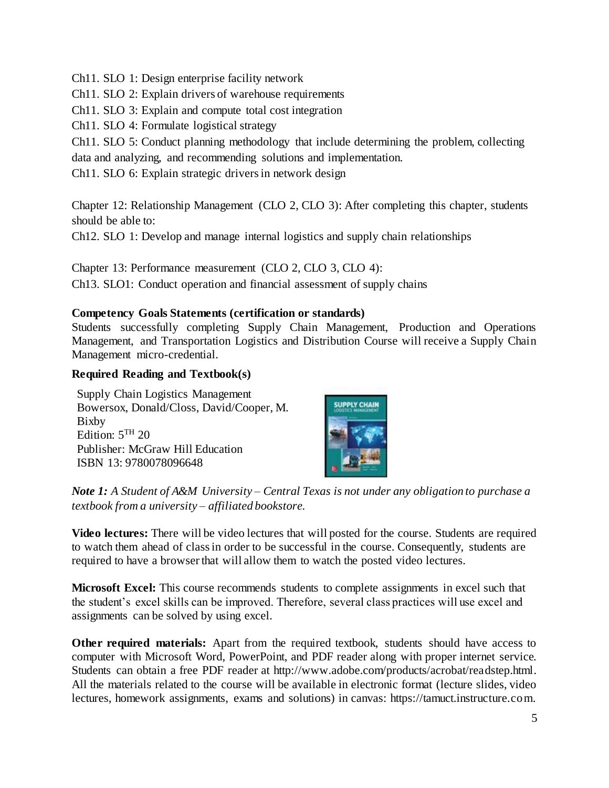Ch11. SLO 1: Design enterprise facility network

Ch11. SLO 2: Explain drivers of warehouse requirements

Ch11. SLO 3: Explain and compute total cost integration

Ch11. SLO 4: Formulate logistical strategy

Ch11. SLO 5: Conduct planning methodology that include determining the problem, collecting data and analyzing, and recommending solutions and implementation.

Ch11. SLO 6: Explain strategic drivers in network design

Chapter 12: Relationship Management (CLO 2, CLO 3): After completing this chapter, students should be able to:

Ch12. SLO 1: Develop and manage internal logistics and supply chain relationships

Chapter 13: Performance measurement (CLO 2, CLO 3, CLO 4): Ch13. SLO1: Conduct operation and financial assessment of supply chains

#### **Competency Goals Statements (certification or standards)**

Students successfully completing Supply Chain Management, Production and Operations Management, and Transportation Logistics and Distribution Course will receive a Supply Chain Management micro-credential.

#### **Required Reading and Textbook(s)**

Supply Chain Logistics Management Bowersox, Donald/Closs, David/Cooper, M. Bixby Edition:  $5<sup>TH</sup> 20$ Publisher: McGraw Hill Education ISBN 13: 9780078096648



*Note 1: A Student of A&M University – Central Texas is not under any obligation to purchase a textbook from a university – affiliated bookstore.*

**Video lectures:** There will be video lectures that will posted for the course. Students are required to watch them ahead of class in order to be successful in the course. Consequently, students are required to have a browser that will allow them to watch the posted video lectures.

**Microsoft Excel:** This course recommends students to complete assignments in excel such that the student's excel skills can be improved. Therefore, several class practices will use excel and assignments can be solved by using excel.

**Other required materials:** Apart from the required textbook, students should have access to computer with Microsoft Word, PowerPoint, and PDF reader along with proper internet service. Students can obtain a free PDF reader at http://www.adobe.com/products/acrobat/readstep.html. All the materials related to the course will be available in electronic format (lecture slides, video lectures, homework assignments, exams and solutions) in canvas: https://tamuct.instructure.com.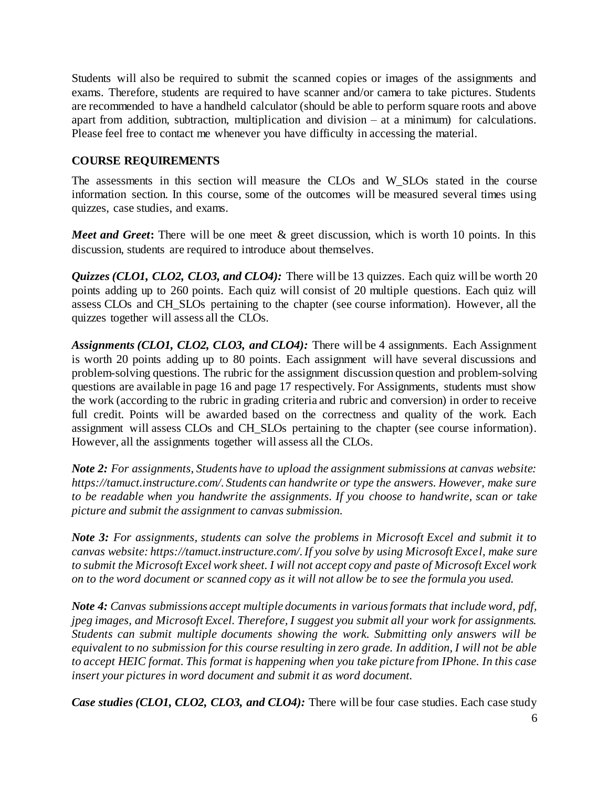Students will also be required to submit the scanned copies or images of the assignments and exams. Therefore, students are required to have scanner and/or camera to take pictures. Students are recommended to have a handheld calculator (should be able to perform square roots and above apart from addition, subtraction, multiplication and division – at a minimum) for calculations. Please feel free to contact me whenever you have difficulty in accessing the material.

#### **COURSE REQUIREMENTS**

The assessments in this section will measure the CLOs and W\_SLOs stated in the course information section. In this course, some of the outcomes will be measured several times using quizzes, case studies, and exams.

*Meet and Greet*: There will be one meet & greet discussion, which is worth 10 points. In this discussion, students are required to introduce about themselves.

*Quizzes (CLO1, CLO2, CLO3, and CLO4):* There will be 13 quizzes. Each quiz will be worth 20 points adding up to 260 points. Each quiz will consist of 20 multiple questions. Each quiz will assess CLOs and CH\_SLOs pertaining to the chapter (see course information). However, all the quizzes together will assess all the CLOs.

*Assignments (CLO1, CLO2, CLO3, and CLO4):* There will be 4 assignments. Each Assignment is worth 20 points adding up to 80 points. Each assignment will have several discussions and problem-solving questions. The rubric for the assignment discussion question and problem-solving questions are available in page 16 and page 17 respectively. For Assignments, students must show the work (according to the rubric in grading criteria and rubric and conversion) in order to receive full credit. Points will be awarded based on the correctness and quality of the work. Each assignment will assess CLOs and CH\_SLOs pertaining to the chapter (see course information). However, all the assignments together will assess all the CLOs.

*Note 2: For assignments, Students have to upload the assignment submissions at canvas website: https://tamuct.instructure.com/. Students can handwrite or type the answers. However, make sure to be readable when you handwrite the assignments. If you choose to handwrite, scan or take picture and submit the assignment to canvas submission.* 

*Note 3: For assignments, students can solve the problems in Microsoft Excel and submit it to canvas website: https://tamuct.instructure.com/. If you solve by using Microsoft Excel, make sure to submit the Microsoft Excel work sheet. I will not accept copy and paste of Microsoft Excel work on to the word document or scanned copy as it will not allow be to see the formula you used.* 

*Note 4: Canvas submissions accept multiple documents in various formats that include word, pdf, jpeg images, and Microsoft Excel. Therefore, I suggest you submit all your work for assignments. Students can submit multiple documents showing the work. Submitting only answers will be equivalent to no submission for this course resulting in zero grade. In addition, I will not be able to accept HEIC format. This format is happening when you take picture from IPhone. In this case insert your pictures in word document and submit it as word document.* 

*Case studies (CLO1, CLO2, CLO3, and CLO4):* There will be four case studies. Each case study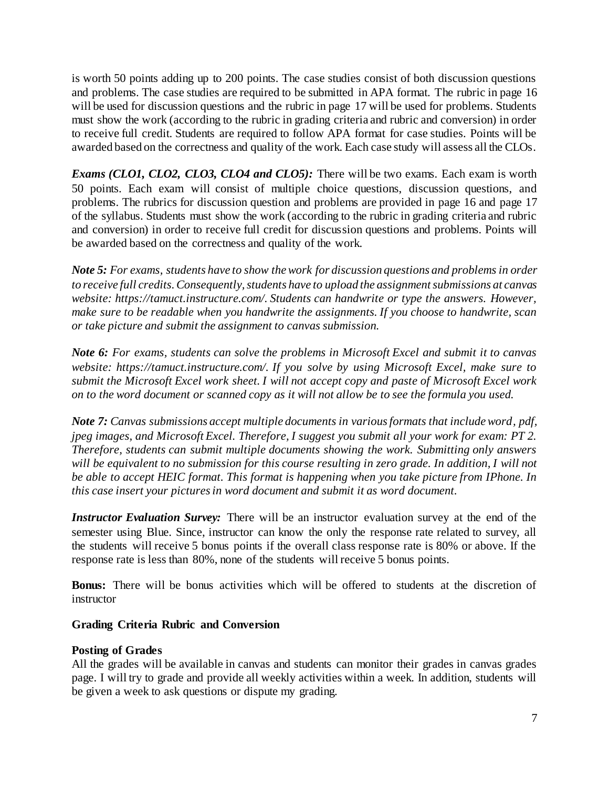is worth 50 points adding up to 200 points. The case studies consist of both discussion questions and problems. The case studies are required to be submitted in APA format. The rubric in page 16 will be used for discussion questions and the rubric in page 17 will be used for problems. Students must show the work (according to the rubric in grading criteria and rubric and conversion) in order to receive full credit. Students are required to follow APA format for case studies. Points will be awarded based on the correctness and quality of the work. Each case study will assess all the CLOs.

*Exams (CLO1, CLO2, CLO3, CLO4 and CLO5):* There will be two exams. Each exam is worth 50 points. Each exam will consist of multiple choice questions, discussion questions, and problems. The rubrics for discussion question and problems are provided in page 16 and page 17 of the syllabus. Students must show the work (according to the rubric in grading criteria and rubric and conversion) in order to receive full credit for discussion questions and problems. Points will be awarded based on the correctness and quality of the work.

*Note 5: For exams, students have to show the work for discussion questions and problemsin order to receive full credits. Consequently, students have to upload the assignment submissions at canvas website: https://tamuct.instructure.com/. Students can handwrite or type the answers. However, make sure to be readable when you handwrite the assignments. If you choose to handwrite, scan or take picture and submit the assignment to canvas submission.* 

*Note 6: For exams, students can solve the problems in Microsoft Excel and submit it to canvas website: https://tamuct.instructure.com/. If you solve by using Microsoft Excel, make sure to submit the Microsoft Excel work sheet. I will not accept copy and paste of Microsoft Excel work on to the word document or scanned copy as it will not allow be to see the formula you used.* 

*Note 7: Canvas submissions accept multiple documents in various formats that include word, pdf, jpeg images, and Microsoft Excel. Therefore, I suggest you submit all your work for exam: PT 2. Therefore, students can submit multiple documents showing the work. Submitting only answers will be equivalent to no submission for this course resulting in zero grade. In addition, I will not be able to accept HEIC format. This format is happening when you take picture from IPhone. In this case insert your pictures in word document and submit it as word document.*

*Instructor Evaluation Survey:* There will be an instructor evaluation survey at the end of the semester using Blue. Since, instructor can know the only the response rate related to survey, all the students will receive 5 bonus points if the overall class response rate is 80% or above. If the response rate is less than 80%, none of the students will receive 5 bonus points.

**Bonus:** There will be bonus activities which will be offered to students at the discretion of instructor

# **Grading Criteria Rubric and Conversion**

# **Posting of Grades**

All the grades will be available in canvas and students can monitor their grades in canvas grades page. I will try to grade and provide all weekly activities within a week. In addition, students will be given a week to ask questions or dispute my grading.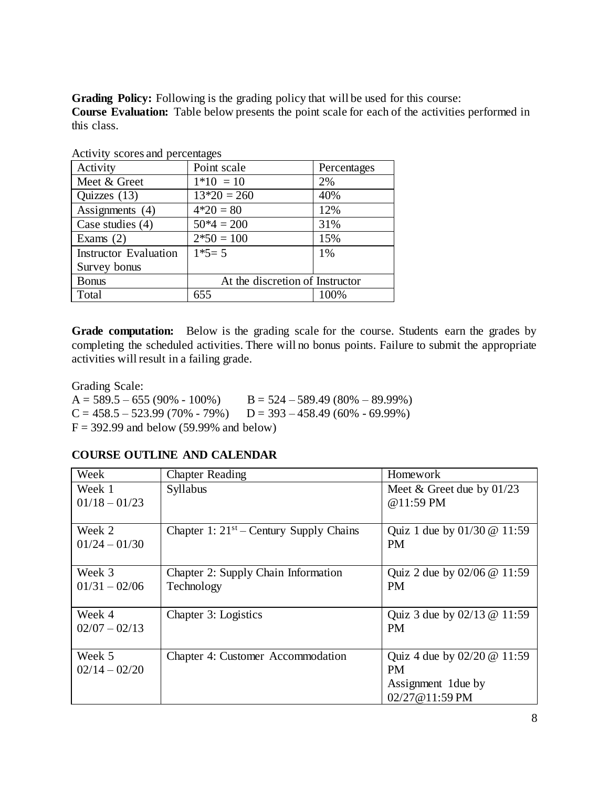**Grading Policy:** Following is the grading policy that will be used for this course: **Course Evaluation:** Table below presents the point scale for each of the activities performed in this class.

| rea (it) because and percentages |                                 |             |  |  |
|----------------------------------|---------------------------------|-------------|--|--|
| Activity                         | Point scale                     | Percentages |  |  |
| Meet & Greet                     | $1*10 = 10$                     | 2%          |  |  |
| Quizzes $(13)$                   | $13*20 = 260$                   | 40%         |  |  |
| Assignments $(4)$                | $4*20=80$                       | 12%         |  |  |
| Case studies $(4)$               | $50*4 = 200$                    | 31%         |  |  |
| Exams $(2)$                      | $2*50 = 100$                    | 15%         |  |  |
| <b>Instructor Evaluation</b>     | $1*5=5$                         | 1%          |  |  |
| Survey bonus                     |                                 |             |  |  |
| <b>Bonus</b>                     | At the discretion of Instructor |             |  |  |
| Total                            | 655                             | 100%        |  |  |

Activity scores and percentages

**Grade computation:** Below is the grading scale for the course. Students earn the grades by completing the scheduled activities. There will no bonus points. Failure to submit the appropriate activities will result in a failing grade.

Grading Scale:  $A = 589.5 - 655 (90\% - 100\%)$   $B = 524 - 589.49 (80\% - 89.99\%)$  $C = 458.5 - 523.99 (70\% - 79\%)$   $D = 393 - 458.49 (60\% - 69.99\%)$  $F = 392.99$  and below (59.99% and below)

# **COURSE OUTLINE AND CALENDAR**

| Week            | <b>Chapter Reading</b>                       | Homework                                             |
|-----------------|----------------------------------------------|------------------------------------------------------|
| Week 1          | Syllabus                                     | Meet $&$ Greet due by 01/23                          |
| $01/18 - 01/23$ |                                              | @11:59 PM                                            |
|                 |                                              |                                                      |
| Week 2          | Chapter 1: $21^{st}$ – Century Supply Chains | Quiz 1 due by $01/30 \text{ } \textcircled{e}$ 11:59 |
| $01/24 - 01/30$ |                                              | <b>PM</b>                                            |
|                 |                                              |                                                      |
| Week 3          | Chapter 2: Supply Chain Information          | Quiz 2 due by $02/06 \, \textcircled{a}$ 11:59       |
| $01/31 - 02/06$ | Technology                                   | <b>PM</b>                                            |
|                 |                                              |                                                      |
| Week 4          | Chapter 3: Logistics                         | Quiz 3 due by $02/13$ @ 11:59                        |
| $02/07 - 02/13$ |                                              | <b>PM</b>                                            |
|                 |                                              |                                                      |
| Week 5          | Chapter 4: Customer Accommodation            | Quiz 4 due by $02/20 \text{ } \textcircled{a} 11:59$ |
| $02/14 - 02/20$ |                                              | <b>PM</b>                                            |
|                 |                                              | Assignment 1 due by                                  |
|                 |                                              | 02/27@11:59 PM                                       |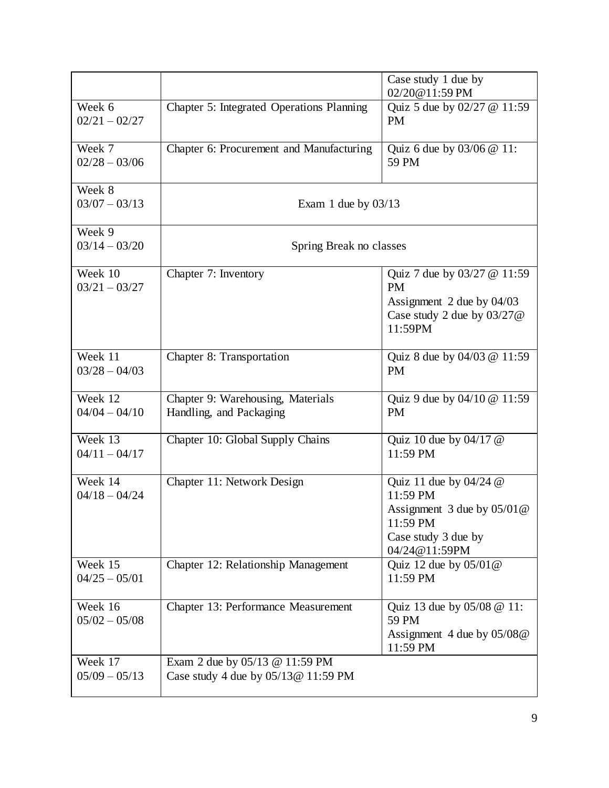|                              |                                                                       | Case study 1 due by<br>02/20@11:59 PM                                                                                  |  |  |
|------------------------------|-----------------------------------------------------------------------|------------------------------------------------------------------------------------------------------------------------|--|--|
| Week 6<br>$02/21 - 02/27$    | Chapter 5: Integrated Operations Planning                             | Quiz 5 due by 02/27 @ 11:59<br><b>PM</b>                                                                               |  |  |
| Week 7<br>$02/28 - 03/06$    | Chapter 6: Procurement and Manufacturing                              | Quiz 6 due by 03/06 @ 11:<br>59 PM                                                                                     |  |  |
| Week 8<br>$03/07 - 03/13$    | Exam 1 due by $03/13$                                                 |                                                                                                                        |  |  |
| Week 9<br>$03/14 - 03/20$    | Spring Break no classes                                               |                                                                                                                        |  |  |
| Week 10<br>$03/21 - 03/27$   | Chapter 7: Inventory                                                  | Quiz 7 due by 03/27 @ 11:59<br><b>PM</b><br>Assignment 2 due by 04/03<br>Case study 2 due by $03/27$ @<br>11:59PM      |  |  |
| Week 11<br>$03/28 - 04/03$   | Chapter 8: Transportation                                             | Quiz 8 due by 04/03 @ 11:59<br><b>PM</b>                                                                               |  |  |
| Week 12<br>$04/04 - 04/10$   | Chapter 9: Warehousing, Materials<br>Handling, and Packaging          | Quiz 9 due by 04/10 @ 11:59<br><b>PM</b>                                                                               |  |  |
| Week 13<br>$04/11 - 04/17$   | Chapter 10: Global Supply Chains                                      | Quiz 10 due by $04/17$ @<br>11:59 PM                                                                                   |  |  |
| Week 14<br>$04/18 - 04/24$   | Chapter 11: Network Design                                            | Quiz 11 due by $04/24$ @<br>11:59 PM<br>Assignment 3 due by 05/01@<br>11:59 PM<br>Case study 3 due by<br>04/24@11:59PM |  |  |
| Week 15<br>$04/25 - 05/01$   | Chapter 12: Relationship Management                                   | Quiz 12 due by $05/01@$<br>11:59 PM                                                                                    |  |  |
| Week $16$<br>$05/02 - 05/08$ | Chapter 13: Performance Measurement                                   | Quiz 13 due by 05/08 @ 11:<br>59 PM<br>Assignment 4 due by $05/08@$<br>11:59 PM                                        |  |  |
| Week 17<br>$05/09 - 05/13$   | Exam 2 due by 05/13 @ 11:59 PM<br>Case study 4 due by 05/13@ 11:59 PM |                                                                                                                        |  |  |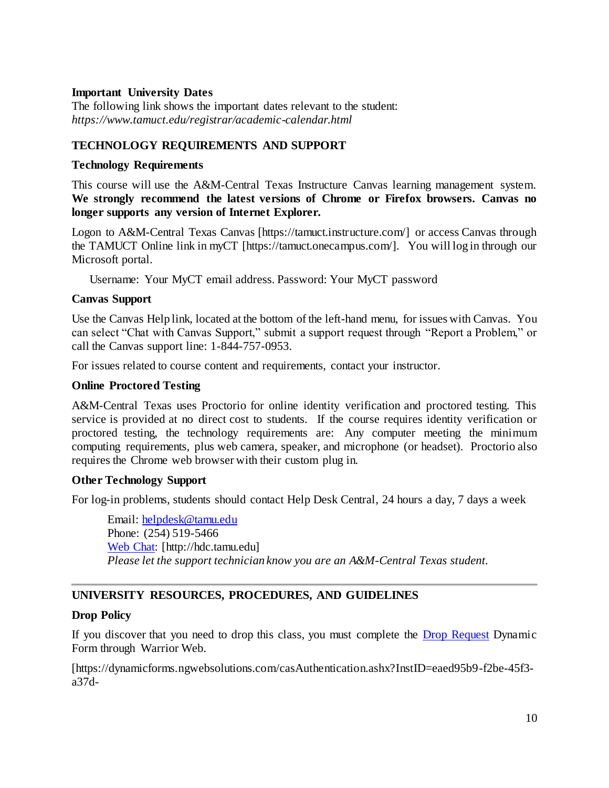#### **Important University Dates**

The following link shows the important dates relevant to the student: *https://www.tamuct.edu/registrar/academic-calendar.html*

# **TECHNOLOGY REQUIREMENTS AND SUPPORT**

#### **Technology Requirements**

This course will use the A&M-Central Texas Instructure Canvas learning management system. **We strongly recommend the latest versions of Chrome or Firefox browsers. Canvas no longer supports any version of Internet Explorer.**

Logon to A&M-Central Texas Canvas [https://tamuct.instructure.com/] or access Canvas through the TAMUCT Online link in myCT [https://tamuct.onecampus.com/]. You will log in through our Microsoft portal.

Username: Your MyCT email address. Password: Your MyCT password

#### **Canvas Support**

Use the Canvas Help link, located at the bottom of the left-hand menu, for issues with Canvas. You can select "Chat with Canvas Support," submit a support request through "Report a Problem," or call the Canvas support line: 1-844-757-0953.

For issues related to course content and requirements, contact your instructor.

# **Online Proctored Testing**

A&M-Central Texas uses Proctorio for online identity verification and proctored testing. This service is provided at no direct cost to students. If the course requires identity verification or proctored testing, the technology requirements are: Any computer meeting the minimum computing requirements, plus web camera, speaker, and microphone (or headset). Proctorio also requires the Chrome web browser with their custom plug in.

#### **Other Technology Support**

For log-in problems, students should contact Help Desk Central, 24 hours a day, 7 days a week

Email: [helpdesk@tamu.edu](mailto:helpdesk@tamu.edu) Phone: (254) 519-5466 [Web Chat:](http://hdc.tamu.edu/) [http://hdc.tamu.edu] *Please let the support technician know you are an A&M-Central Texas student.*

# **UNIVERSITY RESOURCES, PROCEDURES, AND GUIDELINES**

#### **Drop Policy**

If you discover that you need to drop this class, you must complete the **Drop Request Dynamic** Form through Warrior Web.

[https://dynamicforms.ngwebsolutions.com/casAuthentication.ashx?InstID=eaed95b9-f2be-45f3 a37d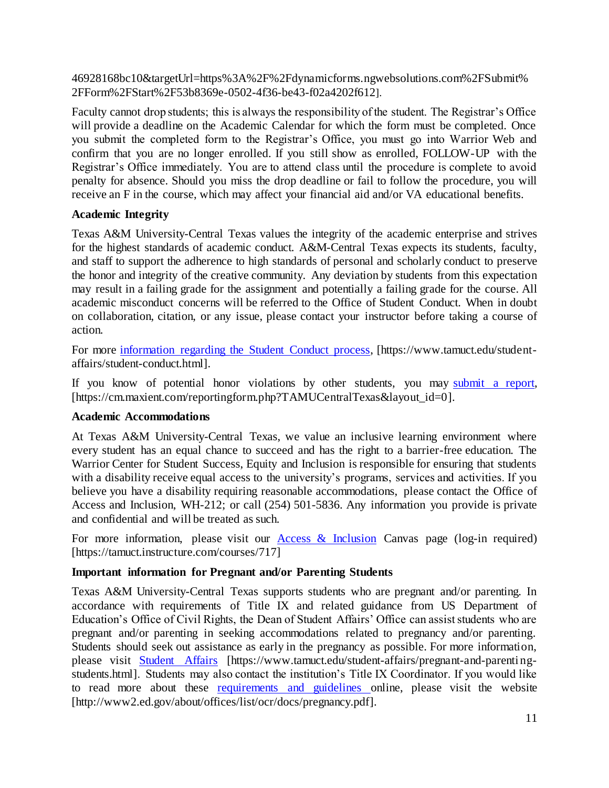46928168bc10&targetUrl=https%3A%2F%2Fdynamicforms.ngwebsolutions.com%2FSubmit% 2FForm%2FStart%2F53b8369e-0502-4f36-be43-f02a4202f612].

Faculty cannot drop students; this is always the responsibility of the student. The Registrar's Office will provide a deadline on the Academic Calendar for which the form must be completed. Once you submit the completed form to the Registrar's Office, you must go into Warrior Web and confirm that you are no longer enrolled. If you still show as enrolled, FOLLOW-UP with the Registrar's Office immediately. You are to attend class until the procedure is complete to avoid penalty for absence. Should you miss the drop deadline or fail to follow the procedure, you will receive an F in the course, which may affect your financial aid and/or VA educational benefits.

# **Academic Integrity**

Texas A&M University-Central Texas values the integrity of the academic enterprise and strives for the highest standards of academic conduct. A&M-Central Texas expects its students, faculty, and staff to support the adherence to high standards of personal and scholarly conduct to preserve the honor and integrity of the creative community. Any deviation by students from this expectation may result in a failing grade for the assignment and potentially a failing grade for the course. All academic misconduct concerns will be referred to the Office of Student Conduct. When in doubt on collaboration, citation, or any issue, please contact your instructor before taking a course of action.

For more [information](https://nam04.safelinks.protection.outlook.com/?url=https%3A%2F%2Fwww.tamuct.edu%2Fstudent-affairs%2Fstudent-conduct.html&data=04%7C01%7Clisa.bunkowski%40tamuct.edu%7Ccfb6e486f24745f53e1a08d910055cb2%7C9eed4e3000f744849ff193ad8005acec%7C0%7C0%7C637558437485252160%7CUnknown%7CTWFpbGZsb3d8eyJWIjoiMC4wLjAwMDAiLCJQIjoiV2luMzIiLCJBTiI6Ik1haWwiLCJXVCI6Mn0%3D%7C1000&sdata=yjftDEVHvLX%2FhM%2FcFU0B99krV1RgEWR%2BJ%2BhvtoR6TYk%3D&reserved=0) regarding the Student Conduct process, [https://www.tamuct.edu/studentaffairs/student-conduct.html].

If you know of potential honor violations by other students, you may [submit](https://nam04.safelinks.protection.outlook.com/?url=https%3A%2F%2Fcm.maxient.com%2Freportingform.php%3FTAMUCentralTexas%26layout_id%3D0&data=04%7C01%7Clisa.bunkowski%40tamuct.edu%7Ccfb6e486f24745f53e1a08d910055cb2%7C9eed4e3000f744849ff193ad8005acec%7C0%7C0%7C637558437485262157%7CUnknown%7CTWFpbGZsb3d8eyJWIjoiMC4wLjAwMDAiLCJQIjoiV2luMzIiLCJBTiI6Ik1haWwiLCJXVCI6Mn0%3D%7C1000&sdata=CXGkOa6uPDPX1IMZ87z3aZDq2n91xfHKu4MMS43Ejjk%3D&reserved=0) a report, [https://cm.maxient.com/reportingform.php?TAMUCentralTexas&layout\_id=0].

#### **Academic Accommodations**

At Texas A&M University-Central Texas, we value an inclusive learning environment where every student has an equal chance to succeed and has the right to a barrier-free education. The Warrior Center for Student Success, Equity and Inclusion is responsible for ensuring that students with a disability receive equal access to the university's programs, services and activities. If you believe you have a disability requiring reasonable accommodations, please contact the Office of Access and Inclusion, WH-212; or call (254) 501-5836. Any information you provide is private and confidential and will be treated as such.

For more information, please visit our  $\Delta \csc \& \text{Inclusion}$  Canvas page (log-in required) [https://tamuct.instructure.com/courses/717]

# **Important information for Pregnant and/or Parenting Students**

Texas A&M University-Central Texas supports students who are pregnant and/or parenting. In accordance with requirements of Title IX and related guidance from US Department of Education's Office of Civil Rights, the Dean of Student Affairs' Office can assist students who are pregnant and/or parenting in seeking accommodations related to pregnancy and/or parenting. Students should seek out assistance as early in the pregnancy as possible. For more information, please visit [Student Affairs](https://www.tamuct.edu/student-affairs/pregnant-and-parenting-students.html) [https://www.tamuct.edu/student-affairs/pregnant-and-parentingstudents.html]. Students may also contact the institution's Title IX Coordinator. If you would like to read more about these [requirements and guidelines](http://www2.ed.gov/about/offices/list/ocr/docs/pregnancy.pdf) online, please visit the website [http://www2.ed.gov/about/offices/list/ocr/docs/pregnancy.pdf].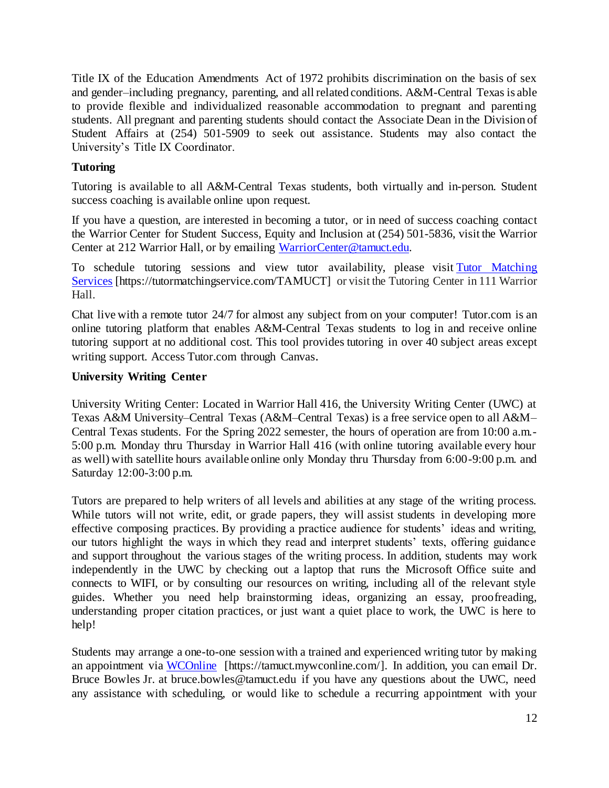Title IX of the Education Amendments Act of 1972 prohibits discrimination on the basis of sex and gender–including pregnancy, parenting, and all related conditions. A&M-Central Texas is able to provide flexible and individualized reasonable accommodation to pregnant and parenting students. All pregnant and parenting students should contact the Associate Dean in the Division of Student Affairs at (254) 501-5909 to seek out assistance. Students may also contact the University's Title IX Coordinator.

# **Tutoring**

Tutoring is available to all A&M-Central Texas students, both virtually and in-person. Student success coaching is available online upon request.

If you have a question, are interested in becoming a tutor, or in need of success coaching contact the Warrior Center for Student Success, Equity and Inclusion at (254) 501-5836, visit the Warrior Center at 212 Warrior Hall, or by emailing [WarriorCenter@tamuct.edu.](mailto:WarriorCenter@tamuct.edu)

To schedule tutoring sessions and view tutor availability, please visit Tutor [Matching](https://tutormatchingservice.com/TAMUCT) [Services](https://tutormatchingservice.com/TAMUCT) [https://tutormatchingservice.com/TAMUCT] or visit the Tutoring Center in 111 Warrior Hall.

Chat live with a remote tutor 24/7 for almost any subject from on your computer! Tutor.com is an online tutoring platform that enables A&M-Central Texas students to log in and receive online tutoring support at no additional cost. This tool provides tutoring in over 40 subject areas except writing support. Access Tutor.com through Canvas.

# **University Writing Center**

University Writing Center: Located in Warrior Hall 416, the University Writing Center (UWC) at Texas A&M University–Central Texas (A&M–Central Texas) is a free service open to all A&M– Central Texas students. For the Spring 2022 semester, the hours of operation are from 10:00 a.m.- 5:00 p.m. Monday thru Thursday in Warrior Hall 416 (with online tutoring available every hour as well) with satellite hours available online only Monday thru Thursday from 6:00-9:00 p.m. and Saturday 12:00-3:00 p.m.

Tutors are prepared to help writers of all levels and abilities at any stage of the writing process. While tutors will not write, edit, or grade papers, they will assist students in developing more effective composing practices. By providing a practice audience for students' ideas and writing, our tutors highlight the ways in which they read and interpret students' texts, offering guidance and support throughout the various stages of the writing process. In addition, students may work independently in the UWC by checking out a laptop that runs the Microsoft Office suite and connects to WIFI, or by consulting our resources on writing, including all of the relevant style guides. Whether you need help brainstorming ideas, organizing an essay, proofreading, understanding proper citation practices, or just want a quiet place to work, the UWC is here to help!

Students may arrange a one-to-one session with a trained and experienced writing tutor by making an appointment via [WCOnline](https://tamuct.mywconline.com/) [https://tamuct.mywconline.com/]. In addition, you can email Dr. Bruce Bowles Jr. at bruce.bowles@tamuct.edu if you have any questions about the UWC, need any assistance with scheduling, or would like to schedule a recurring appointment with your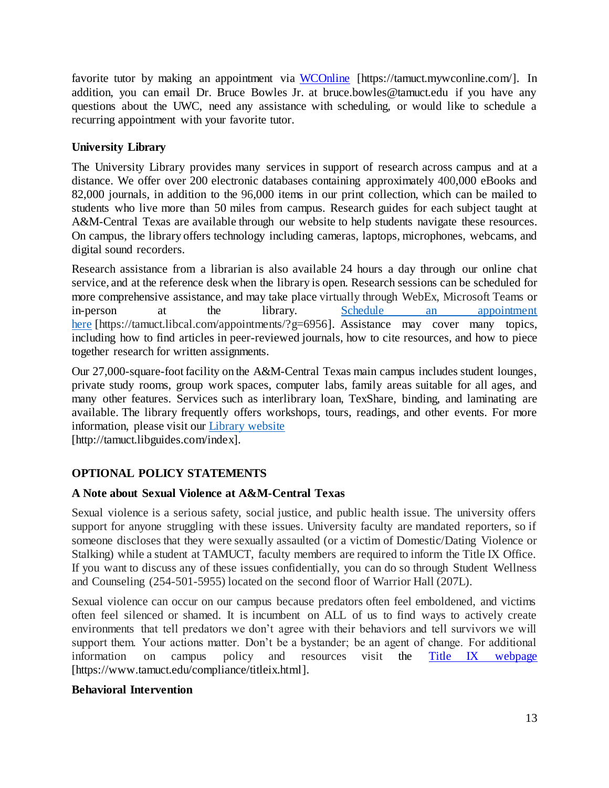favorite tutor by making an appointment via [WCOnline](https://tamuct.mywconline.com/) [https://tamuct.mywconline.com/]. In addition, you can email Dr. Bruce Bowles Jr. at bruce.bowles@tamuct.edu if you have any questions about the UWC, need any assistance with scheduling, or would like to schedule a recurring appointment with your favorite tutor.

# **University Library**

The University Library provides many services in support of research across campus and at a distance. We offer over 200 electronic databases containing approximately 400,000 eBooks and 82,000 journals, in addition to the 96,000 items in our print collection, which can be mailed to students who live more than 50 miles from campus. Research guides for each subject taught at A&M-Central Texas are available through our website to help students navigate these resources. On campus, the library offers technology including cameras, laptops, microphones, webcams, and digital sound recorders.

Research assistance from a librarian is also available 24 hours a day through our online chat service, and at the reference desk when the library is open. Research sessions can be scheduled for more comprehensive assistance, and may take place virtually through WebEx, Microsoft Teams or in-person at the library. Schedule an [appointment](https://nam04.safelinks.protection.outlook.com/?url=https%3A%2F%2Ftamuct.libcal.com%2Fappointments%2F%3Fg%3D6956&data=04%7C01%7Clisa.bunkowski%40tamuct.edu%7Cde2c07d9f5804f09518008d9ab7ba6ff%7C9eed4e3000f744849ff193ad8005acec%7C0%7C0%7C637729369835011558%7CUnknown%7CTWFpbGZsb3d8eyJWIjoiMC4wLjAwMDAiLCJQIjoiV2luMzIiLCJBTiI6Ik1haWwiLCJXVCI6Mn0%3D%7C3000&sdata=KhtjgRSAw9aq%2FoBsB6wyu8b7PSuGN5EGPypzr3Ty2No%3D&reserved=0) [here](https://nam04.safelinks.protection.outlook.com/?url=https%3A%2F%2Ftamuct.libcal.com%2Fappointments%2F%3Fg%3D6956&data=04%7C01%7Clisa.bunkowski%40tamuct.edu%7Cde2c07d9f5804f09518008d9ab7ba6ff%7C9eed4e3000f744849ff193ad8005acec%7C0%7C0%7C637729369835011558%7CUnknown%7CTWFpbGZsb3d8eyJWIjoiMC4wLjAwMDAiLCJQIjoiV2luMzIiLCJBTiI6Ik1haWwiLCJXVCI6Mn0%3D%7C3000&sdata=KhtjgRSAw9aq%2FoBsB6wyu8b7PSuGN5EGPypzr3Ty2No%3D&reserved=0) [https://tamuct.libcal.com/appointments/?g=6956]. Assistance may cover many topics, including how to find articles in peer-reviewed journals, how to cite resources, and how to piece together research for written assignments.

Our 27,000-square-foot facility on the A&M-Central Texas main campus includes student lounges, private study rooms, group work spaces, computer labs, family areas suitable for all ages, and many other features. Services such as interlibrary loan, TexShare, binding, and laminating are available. The library frequently offers workshops, tours, readings, and other events. For more information, please visit our Library [website](https://nam04.safelinks.protection.outlook.com/?url=https%3A%2F%2Ftamuct.libguides.com%2Findex&data=04%7C01%7Clisa.bunkowski%40tamuct.edu%7C7d8489e8839a4915335f08d916f067f2%7C9eed4e3000f744849ff193ad8005acec%7C0%7C0%7C637566044056484222%7CUnknown%7CTWFpbGZsb3d8eyJWIjoiMC4wLjAwMDAiLCJQIjoiV2luMzIiLCJBTiI6Ik1haWwiLCJXVCI6Mn0%3D%7C1000&sdata=2R755V6rcIyedGrd4Os5rkgn1PvhHKU3kUV1vBKiHFo%3D&reserved=0)

[http://tamuct.libguides.com/index].

# **OPTIONAL POLICY STATEMENTS**

# **A Note about Sexual Violence at A&M-Central Texas**

Sexual violence is a serious safety, social justice, and public health issue. The university offers support for anyone struggling with these issues. University faculty are mandated reporters, so if someone discloses that they were sexually assaulted (or a victim of Domestic/Dating Violence or Stalking) while a student at TAMUCT, faculty members are required to inform the Title IX Office. If you want to discuss any of these issues confidentially, you can do so through Student Wellness and Counseling (254-501-5955) located on the second floor of Warrior Hall (207L).

Sexual violence can occur on our campus because predators often feel emboldened, and victims often feel silenced or shamed. It is incumbent on ALL of us to find ways to actively create environments that tell predators we don't agree with their behaviors and tell survivors we will support them. Your actions matter. Don't be a bystander; be an agent of change. For additional information on campus policy and resources visit the [Title IX webpage](https://www.tamuct.edu/compliance/titleix.html) [\[https://www.tamuct.edu/compliance/titleix.html\].](https://www.tamuct.edu/compliance/titleix.html)

# **Behavioral Intervention**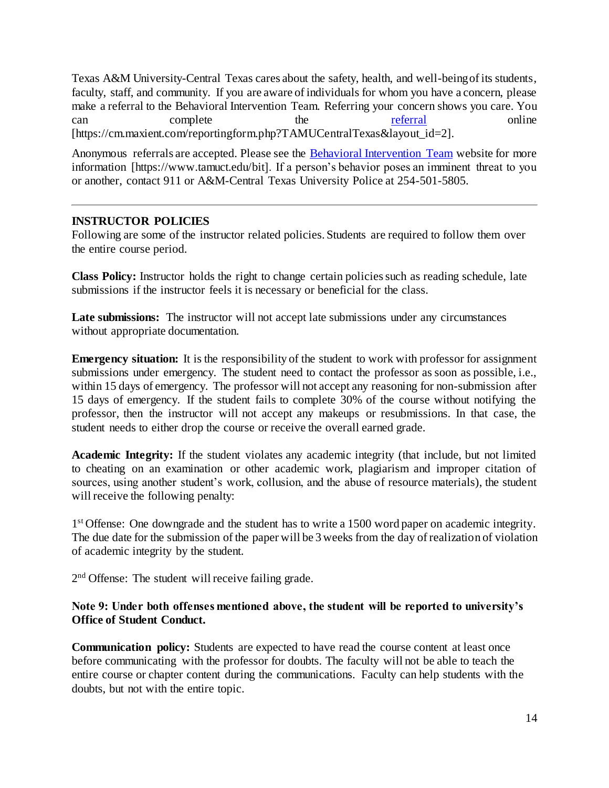Texas A&M University-Central Texas cares about the safety, health, and well-being of its students, faculty, staff, and community. If you are aware of individuals for whom you have a concern, please make a referral to the Behavioral Intervention Team. Referring your concern shows you care. You can complete the <u>[referral](https://cm.maxient.com/reportingform.php?TAMUCentralTexas&layout_id=2)</u> online [https://cm.maxient.com/reportingform.php?TAMUCentralTexas&layout\_id=2].

Anonymous referrals are accepted. Please see the [Behavioral Intervention Team](https://www.tamuct.edu/bit) website for more information [https://www.tamuct.edu/bit]. If a person's behavior poses an imminent threat to you or another, contact 911 or A&M-Central Texas University Police at 254-501-5805.

# **INSTRUCTOR POLICIES**

Following are some of the instructor related policies. Students are required to follow them over the entire course period.

**Class Policy:** Instructor holds the right to change certain policies such as reading schedule, late submissions if the instructor feels it is necessary or beneficial for the class.

**Late submissions:** The instructor will not accept late submissions under any circumstances without appropriate documentation.

**Emergency situation:** It is the responsibility of the student to work with professor for assignment submissions under emergency. The student need to contact the professor as soon as possible, i.e., within 15 days of emergency. The professor will not accept any reasoning for non-submission after 15 days of emergency. If the student fails to complete 30% of the course without notifying the professor, then the instructor will not accept any makeups or resubmissions. In that case, the student needs to either drop the course or receive the overall earned grade.

**Academic Integrity:** If the student violates any academic integrity (that include, but not limited to cheating on an examination or other academic work, plagiarism and improper citation of sources, using another student's work, collusion, and the abuse of resource materials), the student will receive the following penalty:

1<sup>st</sup> Offense: One downgrade and the student has to write a 1500 word paper on academic integrity. The due date for the submission of the paper will be 3 weeks from the day of realization of violation of academic integrity by the student.

2<sup>nd</sup> Offense: The student will receive failing grade.

#### **Note 9: Under both offenses mentioned above, the student will be reported to university's Office of Student Conduct.**

**Communication policy:** Students are expected to have read the course content at least once before communicating with the professor for doubts. The faculty will not be able to teach the entire course or chapter content during the communications. Faculty can help students with the doubts, but not with the entire topic.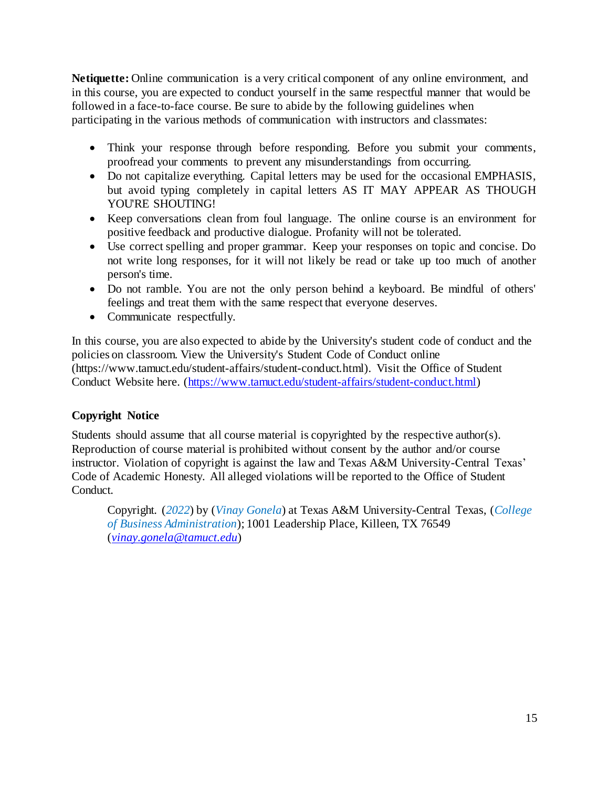**Netiquette:** Online communication is a very critical component of any online environment, and in this course, you are expected to conduct yourself in the same respectful manner that would be followed in a face-to-face course. Be sure to abide by the following guidelines when participating in the various methods of communication with instructors and classmates:

- Think your response through before responding. Before you submit your comments, proofread your comments to prevent any misunderstandings from occurring.
- Do not capitalize everything. Capital letters may be used for the occasional EMPHASIS, but avoid typing completely in capital letters AS IT MAY APPEAR AS THOUGH YOU'RE SHOUTING!
- Keep conversations clean from foul language. The online course is an environment for positive feedback and productive dialogue. Profanity will not be tolerated.
- Use correct spelling and proper grammar. Keep your responses on topic and concise. Do not write long responses, for it will not likely be read or take up too much of another person's time.
- Do not ramble. You are not the only person behind a keyboard. Be mindful of others' feelings and treat them with the same respect that everyone deserves.
- Communicate respectfully.

In this course, you are also expected to abide by the University's student code of conduct and the policies on classroom. View the University's Student Code of Conduct online (https://www.tamuct.edu/student-affairs/student-conduct.html). Visit the Office of Student Conduct Website here. [\(https://www.tamuct.edu/student-affairs/student-conduct.html\)](https://www.tamuct.edu/student-affairs/student-conduct.html)

# **Copyright Notice**

Students should assume that all course material is copyrighted by the respective author(s). Reproduction of course material is prohibited without consent by the author and/or course instructor. Violation of copyright is against the law and Texas A&M University-Central Texas' Code of Academic Honesty. All alleged violations will be reported to the Office of Student Conduct.

Copyright. (*2022*) by (*Vinay Gonela*) at Texas A&M University-Central Texas, (*College of Business Administration*); 1001 Leadership Place, Killeen, TX 76549 (*[vinay.gonela@tamuct.edu](mailto:vinay.gonela@tamuct.edu)*)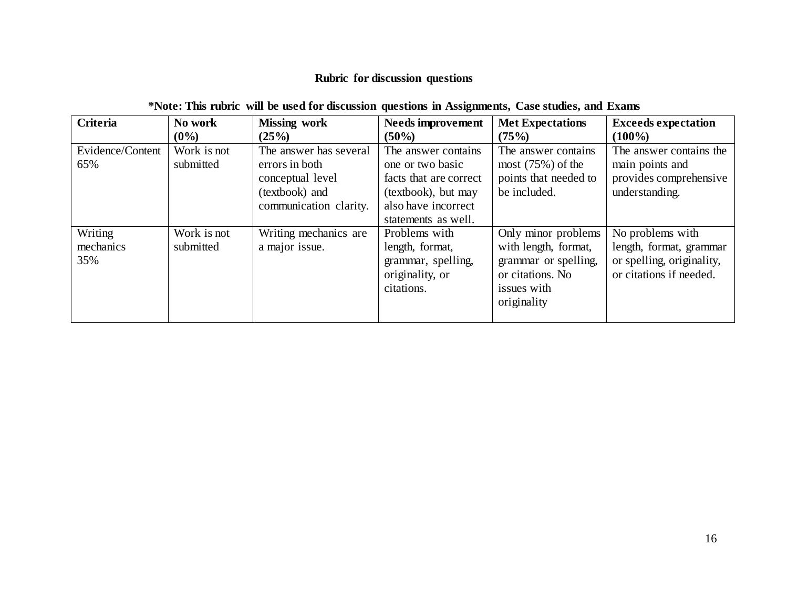# **Rubric for discussion questions**

| <b>Criteria</b>             | No work<br>$(0\%)$       | <b>Missing work</b><br>(25%)                                                                             | <b>Needs improvement</b><br>$(50\%)$                                                                                                   | <b>Met Expectations</b><br>(75%)                                                                                      | <b>Exceeds expectation</b><br>$(100\%)$                                                             |
|-----------------------------|--------------------------|----------------------------------------------------------------------------------------------------------|----------------------------------------------------------------------------------------------------------------------------------------|-----------------------------------------------------------------------------------------------------------------------|-----------------------------------------------------------------------------------------------------|
| Evidence/Content<br>65%     | Work is not<br>submitted | The answer has several<br>errors in both<br>conceptual level<br>(textbook) and<br>communication clarity. | The answer contains<br>one or two basic<br>facts that are correct<br>(textbook), but may<br>also have incorrect<br>statements as well. | The answer contains.<br>most $(75%)$ of the<br>points that needed to<br>be included.                                  | The answer contains the<br>main points and<br>provides comprehensive<br>understanding.              |
| Writing<br>mechanics<br>35% | Work is not<br>submitted | Writing mechanics are<br>a major issue.                                                                  | Problems with<br>length, format,<br>grammar, spelling,<br>originality, or<br>citations.                                                | Only minor problems<br>with length, format,<br>grammar or spelling,<br>or citations. No<br>issues with<br>originality | No problems with<br>length, format, grammar<br>or spelling, originality,<br>or citations if needed. |